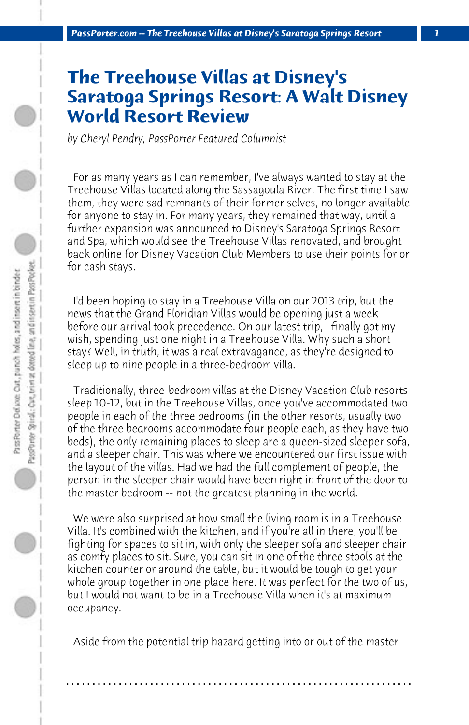## **The Treehouse Villas at Disney's Saratoga Springs Resort: A Walt Disney World Resort Review**

*by Cheryl Pendry, PassPorter Featured Columnist*

 For as many years as I can remember, I've always wanted to stay at the Treehouse Villas located along the Sassagoula River. The first time I saw them, they were sad remnants of their former selves, no longer available for anyone to stay in. For many years, they remained that way, until a further expansion was announced to Disney's Saratoga Springs Resort and Spa, which would see the Treehouse Villas renovated, and brought back online for Disney Vacation Club Members to use their points for or for cash stays.

 I'd been hoping to stay in a Treehouse Villa on our 2013 trip, but the news that the Grand Floridian Villas would be opening just a week before our arrival took precedence. On our latest trip, I finally got my wish, spending just one night in a Treehouse Villa. Why such a short stay? Well, in truth, it was a real extravagance, as they're designed to sleep up to nine people in a three-bedroom villa.

 Traditionally, three-bedroom villas at the Disney Vacation Club resorts sleep 10-12, but in the Treehouse Villas, once you've accommodated two people in each of the three bedrooms (in the other resorts, usually two of the three bedrooms accommodate four people each, as they have two beds), the only remaining places to sleep are a queen-sized sleeper sofa, and a sleeper chair. This was where we encountered our first issue with the layout of the villas. Had we had the full complement of people, the person in the sleeper chair would have been right in front of the door to the master bedroom -- not the greatest planning in the world.

 We were also surprised at how small the living room is in a Treehouse Villa. It's combined with the kitchen, and if you're all in there, you'll be fighting for spaces to sit in, with only the sleeper sofa and sleeper chair as comfy places to sit. Sure, you can sit in one of the three stools at the kitchen counter or around the table, but it would be tough to get your whole group together in one place here. It was perfect for the two of us, but I would not want to be in a Treehouse Villa when it's at maximum occupancy.

 Aside from the potential trip hazard getting into or out of the master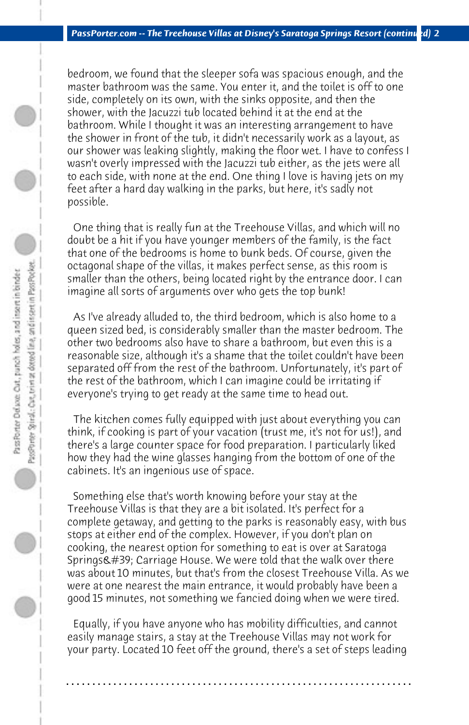bedroom, we found that the sleeper sofa was spacious enough, and the master bathroom was the same. You enter it, and the toilet is off to one side, completely on its own, with the sinks opposite, and then the shower, with the Jacuzzi tub located behind it at the end at the bathroom. While I thought it was an interesting arrangement to have the shower in front of the tub, it didn't necessarily work as a layout, as our shower was leaking slightly, making the floor wet. I have to confess I wasn't overly impressed with the Jacuzzi tub either, as the jets were all to each side, with none at the end. One thing I love is having jets on my feet after a hard day walking in the parks, but here, it's sadly not possible.

 One thing that is really fun at the Treehouse Villas, and which will no doubt be a hit if you have younger members of the family, is the fact that one of the bedrooms is home to bunk beds. Of course, given the octagonal shape of the villas, it makes perfect sense, as this room is smaller than the others, being located right by the entrance door. I can imagine all sorts of arguments over who gets the top bunk!

 As I've already alluded to, the third bedroom, which is also home to a queen sized bed, is considerably smaller than the master bedroom. The other two bedrooms also have to share a bathroom, but even this is a reasonable size, although it's a shame that the toilet couldn't have been separated off from the rest of the bathroom. Unfortunately, it's part of the rest of the bathroom, which I can imagine could be irritating if everyone's trying to get ready at the same time to head out.

 The kitchen comes fully equipped with just about everything you can think, if cooking is part of your vacation (trust me, it's not for us!), and there's a large counter space for food preparation. I particularly liked how they had the wine glasses hanging from the bottom of one of the cabinets. It's an ingenious use of space.

 Something else that's worth knowing before your stay at the Treehouse Villas is that they are a bit isolated. It's perfect for a complete getaway, and getting to the parks is reasonably easy, with bus stops at either end of the complex. However, if you don't plan on cooking, the nearest option for something to eat is over at Saratoga Springs' Carriage House. We were told that the walk over there was about 10 minutes, but that's from the closest Treehouse Villa. As we were at one nearest the main entrance, it would probably have been a good 15 minutes, not something we fancied doing when we were tired.

 Equally, if you have anyone who has mobility difficulties, and cannot easily manage stairs, a stay at the Treehouse Villas may not work for your party. Located 10 feet off the ground, there's a set of steps leading

**. . . . . . . . . . . . . . . . . . . . . . . . . . . . . . . . . . . . . . . . . . . . . . . . . . . . . . . . . . . . . . . . . .**